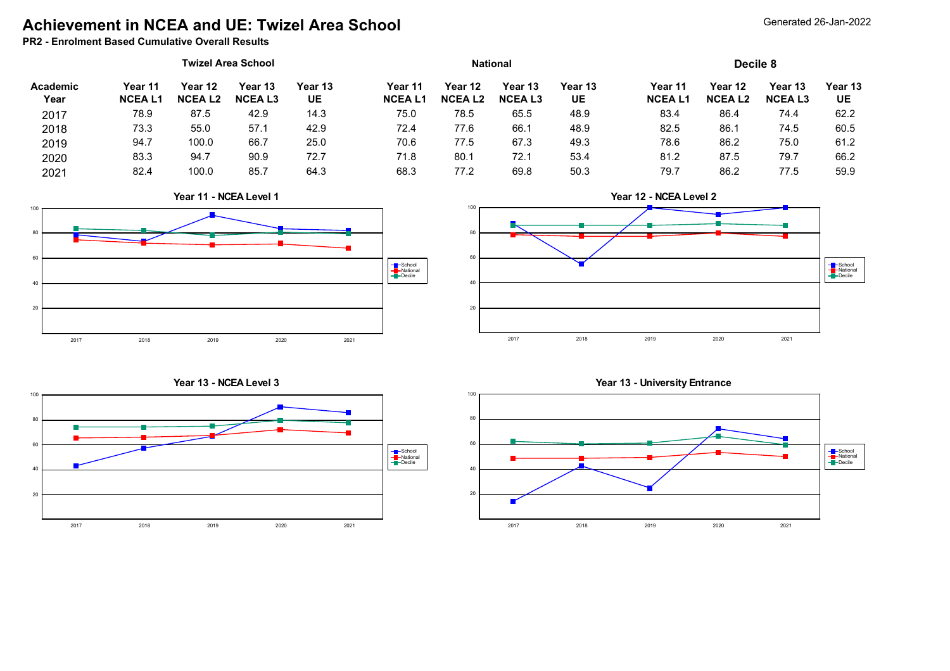## **Achievement in NCEA and UE: Twizel Area School**

### **PR2 - Enrolment Based Cumulative Overall Results**

| Academic<br>Year | <b>Twizel Area School</b> |                          |                          |               | <b>National</b>          |                          |                          |               | Decile 8                 |                          |                          |               |
|------------------|---------------------------|--------------------------|--------------------------|---------------|--------------------------|--------------------------|--------------------------|---------------|--------------------------|--------------------------|--------------------------|---------------|
|                  | Year 11<br><b>NCEAL1</b>  | Year 12<br><b>NCEAL2</b> | Year 13<br><b>NCEAL3</b> | Year 13<br>UE | Year 11<br><b>NCEAL1</b> | Year 12<br><b>NCEAL2</b> | Year 13<br><b>NCEAL3</b> | Year 13<br>UE | Year 11<br><b>NCEAL1</b> | Year 12<br><b>NCEAL2</b> | Year 13<br><b>NCEAL3</b> | Year 13<br>UE |
| 2017             | 78.9                      | 87.5                     | 42.9                     | 14.3          | 75.0                     | 78.5                     | 65.5                     | 48.9          | 83.4                     | 86.4                     | 74.4                     | 62.2          |
| 2018             | 73.3                      | 55.0                     | 57.1                     | 42.9          | 72.4                     | 77.6                     | 66.1                     | 48.9          | 82.5                     | 86.7                     | 74.5                     | 60.5          |
| 2019             | 94.7                      | 100.0                    | 66.7                     | 25.0          | 70.6                     | 77.5                     | 67.3                     | 49.3          | 78.6                     | 86.2                     | 75.0                     | 61.2          |
| 2020             | 83.3                      | 94.7                     | 90.9                     | 72.7          | 71.8                     | 80.7                     | 72.1                     | 53.4          | 81.2                     | 87.5                     | 79.7                     | 66.2          |
| 2021             | 82.4                      | 100.0                    | 85.7                     | 64.3          | 68.3                     | 77.2                     | 69.8                     | 50.3          | 79.7                     | 86.2                     | 77.5                     | 59.9          |













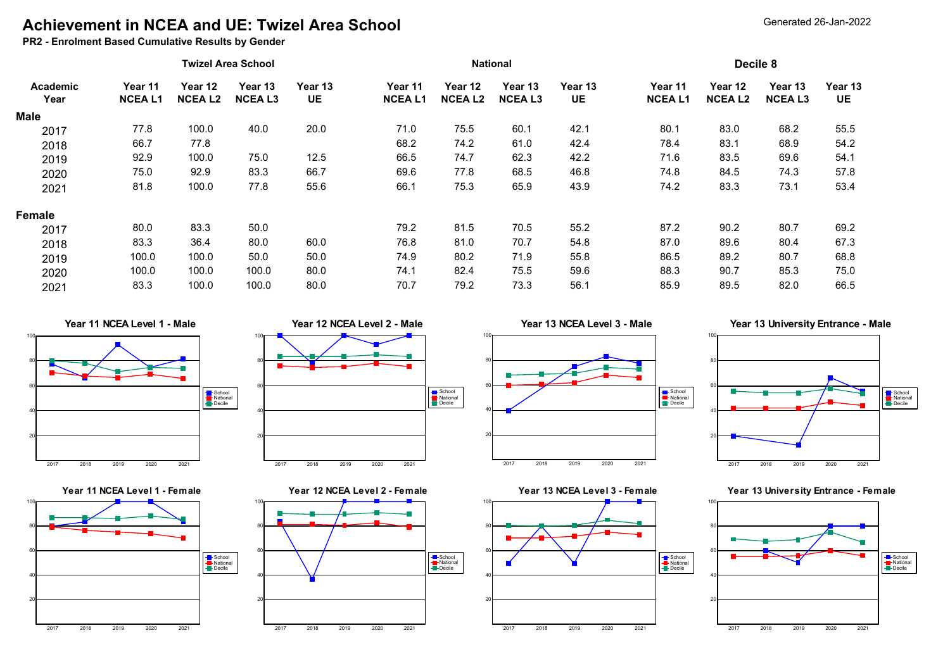## **Achievement in NCEA and UE: Twizel Area School**

**PR2 - Enrolment Based Cumulative Results by Gender**

|                         |                          |                          | <b>Twizel Area School</b> |               | <b>National</b>          |                          |                          |               | Decile 8                 |                          |                          |                      |
|-------------------------|--------------------------|--------------------------|---------------------------|---------------|--------------------------|--------------------------|--------------------------|---------------|--------------------------|--------------------------|--------------------------|----------------------|
| <b>Academic</b><br>Year | Year 11<br><b>NCEAL1</b> | Year 12<br><b>NCEAL2</b> | Year 13<br><b>NCEAL3</b>  | Year 13<br>UE | Year 11<br><b>NCEAL1</b> | Year 12<br><b>NCEAL2</b> | Year 13<br><b>NCEAL3</b> | Year 13<br>UE | Year 11<br><b>NCEAL1</b> | Year 12<br><b>NCEAL2</b> | Year 13<br><b>NCEAL3</b> | Year 13<br><b>UE</b> |
| <b>Male</b>             |                          |                          |                           |               |                          |                          |                          |               |                          |                          |                          |                      |
| 2017                    | 77.8                     | 100.0                    | 40.0                      | 20.0          | 71.0                     | 75.5                     | 60.1                     | 42.1          | 80.1                     | 83.0                     | 68.2                     | 55.5                 |
| 2018                    | 66.7                     | 77.8                     |                           |               | 68.2                     | 74.2                     | 61.0                     | 42.4          | 78.4                     | 83.1                     | 68.9                     | 54.2                 |
| 2019                    | 92.9                     | 100.0                    | 75.0                      | 12.5          | 66.5                     | 74.7                     | 62.3                     | 42.2          | 71.6                     | 83.5                     | 69.6                     | 54.1                 |
| 2020                    | 75.0                     | 92.9                     | 83.3                      | 66.7          | 69.6                     | 77.8                     | 68.5                     | 46.8          | 74.8                     | 84.5                     | 74.3                     | 57.8                 |
| 2021                    | 81.8                     | 100.0                    | 77.8                      | 55.6          | 66.1                     | 75.3                     | 65.9                     | 43.9          | 74.2                     | 83.3                     | 73.1                     | 53.4                 |
| Female                  |                          |                          |                           |               |                          |                          |                          |               |                          |                          |                          |                      |
| 2017                    | 80.0                     | 83.3                     | 50.0                      |               | 79.2                     | 81.5                     | 70.5                     | 55.2          | 87.2                     | 90.2                     | 80.7                     | 69.2                 |
| 2018                    | 83.3                     | 36.4                     | 80.0                      | 60.0          | 76.8                     | 81.0                     | 70.7                     | 54.8          | 87.0                     | 89.6                     | 80.4                     | 67.3                 |
| 2019                    | 100.0                    | 100.0                    | 50.0                      | 50.0          | 74.9                     | 80.2                     | 71.9                     | 55.8          | 86.5                     | 89.2                     | 80.7                     | 68.8                 |
| 2020                    | 100.0                    | 100.0                    | 100.0                     | 80.0          | 74.1                     | 82.4                     | 75.5                     | 59.6          | 88.3                     | 90.7                     | 85.3                     | 75.0                 |
| 2021                    | 83.3                     | 100.0                    | 100.0                     | 80.0          | 70.7                     | 79.2                     | 73.3                     | 56.1          | 85.9                     | 89.5                     | 82.0                     | 66.5                 |

### **Year 11 NCEA Level 1 - Male**





**Year 12 NCEA Level 2 - Male**

2017 2018 2019 2020 2021

**Year 12 NCEA Level 2 - Female**

2017 2018 2019 2020 2021

20

20

40

60

80

100

40

60

80

100





100





2017 2018 2019 2020 2021



# 80

100

School National Decile

School National Decile





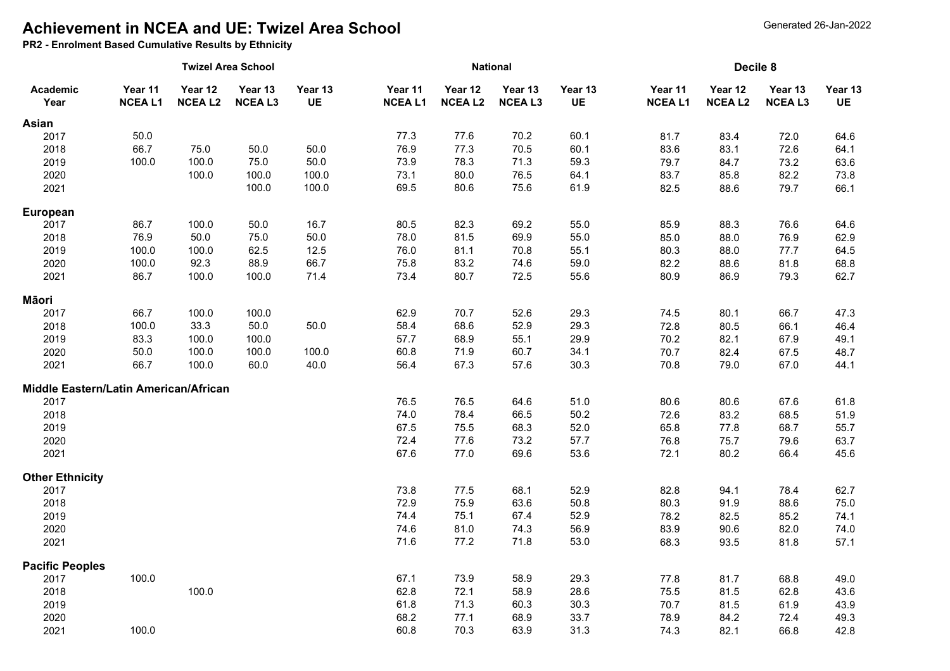# **Achievement in NCEA and UE: Twizel Area School**

**PR2 - Enrolment Based Cumulative Results by Ethnicity**

|                                       |                          |                          | <b>Twizel Area School</b> |                      |                          |                          | <b>National</b>          |                      | Decile 8                 |                          |                          |                      |
|---------------------------------------|--------------------------|--------------------------|---------------------------|----------------------|--------------------------|--------------------------|--------------------------|----------------------|--------------------------|--------------------------|--------------------------|----------------------|
| Academic<br>Year                      | Year 11<br><b>NCEAL1</b> | Year 12<br><b>NCEAL2</b> | Year 13<br><b>NCEAL3</b>  | Year 13<br><b>UE</b> | Year 11<br><b>NCEAL1</b> | Year 12<br><b>NCEAL2</b> | Year 13<br><b>NCEAL3</b> | Year 13<br><b>UE</b> | Year 11<br><b>NCEAL1</b> | Year 12<br><b>NCEAL2</b> | Year 13<br><b>NCEAL3</b> | Year 13<br><b>UE</b> |
| Asian                                 |                          |                          |                           |                      |                          |                          |                          |                      |                          |                          |                          |                      |
| 2017                                  | 50.0                     |                          |                           |                      | 77.3                     | 77.6                     | 70.2                     | 60.1                 | 81.7                     | 83.4                     | 72.0                     | 64.6                 |
| 2018                                  | 66.7                     | 75.0                     | 50.0                      | 50.0                 | 76.9                     | 77.3                     | 70.5                     | 60.1                 | 83.6                     | 83.1                     | 72.6                     | 64.1                 |
| 2019                                  | 100.0                    | 100.0                    | 75.0                      | 50.0                 | 73.9                     | 78.3                     | 71.3                     | 59.3                 | 79.7                     | 84.7                     | 73.2                     | 63.6                 |
| 2020                                  |                          | 100.0                    | 100.0                     | 100.0                | 73.1                     | 80.0                     | 76.5                     | 64.1                 | 83.7                     | 85.8                     | 82.2                     | 73.8                 |
| 2021                                  |                          |                          | 100.0                     | 100.0                | 69.5                     | 80.6                     | 75.6                     | 61.9                 | 82.5                     | 88.6                     | 79.7                     | 66.1                 |
| European                              |                          |                          |                           |                      |                          |                          |                          |                      |                          |                          |                          |                      |
| 2017                                  | 86.7                     | 100.0                    | 50.0                      | 16.7                 | 80.5                     | 82.3                     | 69.2                     | 55.0                 | 85.9                     | 88.3                     | 76.6                     | 64.6                 |
| 2018                                  | 76.9                     | 50.0                     | 75.0                      | 50.0                 | 78.0                     | 81.5                     | 69.9                     | 55.0                 | 85.0                     | 88.0                     | 76.9                     | 62.9                 |
| 2019                                  | 100.0                    | 100.0                    | 62.5                      | 12.5                 | 76.0                     | 81.1                     | 70.8                     | 55.1                 | 80.3                     | 88.0                     | 77.7                     | 64.5                 |
| 2020                                  | 100.0                    | 92.3                     | 88.9                      | 66.7                 | 75.8                     | 83.2                     | 74.6                     | 59.0                 | 82.2                     | 88.6                     | 81.8                     | 68.8                 |
| 2021                                  | 86.7                     | 100.0                    | 100.0                     | 71.4                 | 73.4                     | 80.7                     | 72.5                     | 55.6                 | 80.9                     | 86.9                     | 79.3                     | 62.7                 |
| Māori                                 |                          |                          |                           |                      |                          |                          |                          |                      |                          |                          |                          |                      |
| 2017                                  | 66.7                     | 100.0                    | 100.0                     |                      | 62.9                     | 70.7                     | 52.6                     | 29.3                 | 74.5                     | 80.1                     | 66.7                     | 47.3                 |
| 2018                                  | 100.0                    | 33.3                     | $50.0\,$                  | 50.0                 | 58.4                     | 68.6                     | 52.9                     | 29.3                 | 72.8                     | 80.5                     | 66.1                     | 46.4                 |
| 2019                                  | 83.3                     | 100.0                    | 100.0                     |                      | 57.7                     | 68.9                     | 55.1                     | 29.9                 | 70.2                     | 82.1                     | 67.9                     | 49.1                 |
| 2020                                  | 50.0                     | 100.0                    | 100.0                     | 100.0                | 60.8                     | 71.9                     | 60.7                     | 34.1                 | 70.7                     | 82.4                     | 67.5                     | 48.7                 |
| 2021                                  | 66.7                     | 100.0                    | 60.0                      | 40.0                 | 56.4                     | 67.3                     | 57.6                     | 30.3                 | 70.8                     | 79.0                     | 67.0                     | 44.1                 |
| Middle Eastern/Latin American/African |                          |                          |                           |                      |                          |                          |                          |                      |                          |                          |                          |                      |
| 2017                                  |                          |                          |                           |                      | 76.5                     | 76.5                     | 64.6                     | 51.0                 | 80.6                     | 80.6                     | 67.6                     | 61.8                 |
| 2018                                  |                          |                          |                           |                      | 74.0                     | 78.4                     | 66.5                     | 50.2                 | 72.6                     | 83.2                     | 68.5                     | 51.9                 |
| 2019                                  |                          |                          |                           |                      | 67.5                     | 75.5                     | 68.3                     | 52.0                 | 65.8                     | 77.8                     | 68.7                     | 55.7                 |
| 2020                                  |                          |                          |                           |                      | 72.4                     | 77.6                     | 73.2                     | 57.7                 | 76.8                     | 75.7                     | 79.6                     | 63.7                 |
| 2021                                  |                          |                          |                           |                      | 67.6                     | 77.0                     | 69.6                     | 53.6                 | 72.1                     | 80.2                     | 66.4                     | 45.6                 |
| <b>Other Ethnicity</b>                |                          |                          |                           |                      |                          |                          |                          |                      |                          |                          |                          |                      |
| 2017                                  |                          |                          |                           |                      | 73.8                     | 77.5                     | 68.1                     | 52.9                 | 82.8                     | 94.1                     | 78.4                     | 62.7                 |
| 2018                                  |                          |                          |                           |                      | 72.9                     | 75.9                     | 63.6                     | 50.8                 | 80.3                     | 91.9                     | 88.6                     | 75.0                 |
| 2019                                  |                          |                          |                           |                      | 74.4                     | 75.1                     | 67.4                     | 52.9                 | 78.2                     | 82.5                     | 85.2                     | 74.1                 |
| 2020                                  |                          |                          |                           |                      | 74.6                     | 81.0                     | 74.3                     | 56.9                 | 83.9                     | 90.6                     | 82.0                     | 74.0                 |
| 2021                                  |                          |                          |                           |                      | 71.6                     | 77.2                     | 71.8                     | 53.0                 | 68.3                     | 93.5                     | 81.8                     | 57.1                 |
| <b>Pacific Peoples</b>                |                          |                          |                           |                      |                          |                          |                          |                      |                          |                          |                          |                      |
| 2017                                  | 100.0                    |                          |                           |                      | 67.1                     | 73.9                     | 58.9                     | 29.3                 | 77.8                     | 81.7                     | 68.8                     | 49.0                 |
| 2018                                  |                          | 100.0                    |                           |                      | 62.8                     | 72.1                     | 58.9                     | 28.6                 | 75.5                     | 81.5                     | 62.8                     | 43.6                 |
| 2019                                  |                          |                          |                           |                      | 61.8                     | 71.3                     | 60.3                     | 30.3                 | 70.7                     | 81.5                     | 61.9                     | 43.9                 |
| 2020                                  |                          |                          |                           |                      | 68.2                     | 77.1                     | 68.9                     | 33.7                 | 78.9                     | 84.2                     | 72.4                     | 49.3                 |
| 2021                                  | 100.0                    |                          |                           |                      | 60.8                     | 70.3                     | 63.9                     | 31.3                 | 74.3                     | 82.1                     | 66.8                     | 42.8                 |